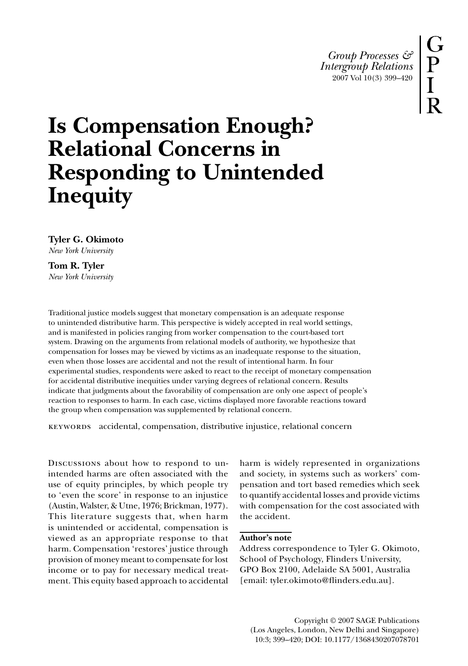*Group Processes & Intergroup Relations* 2007 Vol 10(3) 399–420

# **Is Compensation Enough? Relational Concerns in Responding to Unintended Inequity**

**Tyler G. Okimoto** *New York University*

**Tom R. Tyler** *New York University*

Traditional justice models suggest that monetary compensation is an adequate response to unintended distributive harm. This perspective is widely accepted in real world settings, and is manifested in policies ranging from worker compensation to the court-based tort system. Drawing on the arguments from relational models of authority, we hypothesize that compensation for losses may be viewed by victims as an inadequate response to the situation, even when those losses are accidental and not the result of intentional harm. In four experimental studies, respondents were asked to react to the receipt of monetary compensation for accidental distributive inequities under varying degrees of relational concern. Results indicate that judgments about the favorability of compensation are only one aspect of people's reaction to responses to harm. In each case, victims displayed more favorable reactions toward the group when compensation was supplemented by relational concern.

keywords accidental, compensation, distributive injustice, relational concern

Discussions about how to respond to unintended harms are often associated with the use of equity principles, by which people try to 'even the score' in response to an injustice (Austin, Walster, & Utne, 1976; Brickman, 1977). This literature suggests that, when harm is unintended or accidental, compensation is viewed as an appropriate response to that harm. Compensation 'restores' justice through provision of money meant to compensate for lost income or to pay for necessary medical treatment. This equity based approach to accidental

harm is widely represented in organizations and society, in systems such as workers' compensation and tort based remedies which seek to quantify accidental losses and provide victims with compensation for the cost associated with the accident.

## **Author's note**

Address correspondence to Tyler G. Okimoto, School of Psychology, Flinders University, GPO Box 2100, Adelaide SA 5001, Australia [email: tyler.okimoto@flinders.edu.au].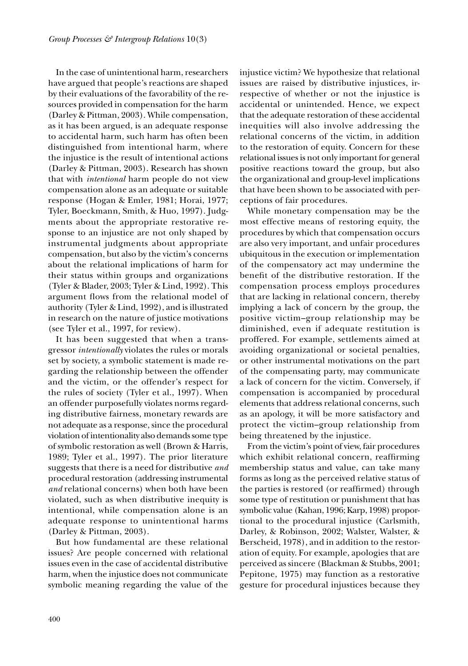In the case of unintentional harm, researchers have argued that people's reactions are shaped by their evaluations of the favorability of the resources provided in compensation for the harm (Darley & Pittman, 2003). While compensation, as it has been argued, is an adequate response to accidental harm, such harm has often been distinguished from intentional harm, where the injustice is the result of intentional actions (Darley & Pittman, 2003). Research has shown that with *intentional* harm people do not view compensation alone as an adequate or suitable response (Hogan & Emler, 1981; Horai, 1977; Tyler, Boeckmann, Smith, & Huo, 1997). Judgments about the appropriate restorative response to an injustice are not only shaped by instrumental judgments about appropriate compensation, but also by the victim's concerns about the relational implications of harm for their status within groups and organizations (Tyler & Blader, 2003; Tyler & Lind, 1992). This argument flows from the relational model of authority (Tyler & Lind, 1992), and is illustrated in research on the nature of justice motivations (see Tyler et al., 1997, for review).

It has been suggested that when a transgressor *intentionally* violates the rules or morals set by society, a symbolic statement is made regarding the relationship between the offender and the victim, or the offender's respect for the rules of society (Tyler et al., 1997). When an offender purposefully violates norms regarding distributive fairness, monetary rewards are not adequate as a response, since the procedural violation of intentionality also demands some type of symbolic restoration as well (Brown & Harris, 1989; Tyler et al., 1997). The prior literature suggests that there is a need for distributive *and* procedural restoration (addressing instrumental *and* relational concerns) when both have been violated, such as when distributive inequity is intentional, while compensation alone is an adequate response to unintentional harms (Darley & Pittman, 2003).

But how fundamental are these relational issues? Are people concerned with relational issues even in the case of accidental distributive harm, when the injustice does not communicate symbolic meaning regarding the value of the injustice victim? We hypothesize that relational issues are raised by distributive injustices, irrespective of whether or not the injustice is accidental or unintended. Hence, we expect that the adequate restoration of these accidental inequities will also involve addressing the relational concerns of the victim, in addition to the restoration of equity. Concern for these relational issues is not only important for general positive reactions toward the group, but also the organizational and group-level implications that have been shown to be associated with perceptions of fair procedures.

While monetary compensation may be the most effective means of restoring equity, the procedures by which that compensation occurs are also very important, and unfair procedures ubiquitous in the execution or implementation of the compensatory act may undermine the benefit of the distributive restoration. If the compensation process employs procedures that are lacking in relational concern, thereby implying a lack of concern by the group, the positive victim–group relationship may be diminished, even if adequate restitution is proffered. For example, settlements aimed at avoiding organizational or societal penalties, or other instrumental motivations on the part of the compensating party, may communicate a lack of concern for the victim. Conversely, if compensation is accompanied by procedural elements that address relational concerns, such as an apology, it will be more satisfactory and protect the victim–group relationship from being threatened by the injustice.

From the victim's point of view, fair procedures which exhibit relational concern, reaffirming membership status and value, can take many forms as long as the perceived relative status of the parties is restored (or reaffirmed) through some type of restitution or punishment that has symbolic value (Kahan, 1996; Karp, 1998) proportional to the procedural injustice (Carlsmith, Darley, & Robinson, 2002; Walster, Walster, & Berscheid, 1978), and in addition to the restoration of equity. For example, apologies that are perceived as sincere (Blackman & Stubbs, 2001; Pepitone, 1975) may function as a restorative gesture for procedural injustices because they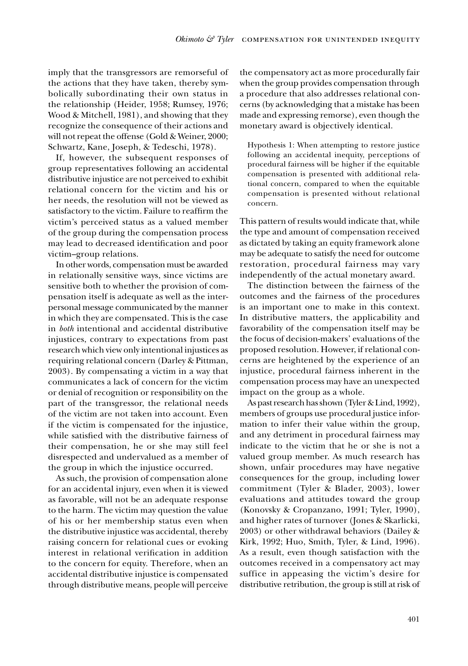imply that the transgressors are remorseful of the actions that they have taken, thereby symbolically subordinating their own status in the relationship (Heider, 1958; Rumsey, 1976; Wood & Mitchell, 1981), and showing that they recognize the consequence of their actions and will not repeat the offense (Gold & Weiner, 2000; Schwartz, Kane, Joseph, & Tedeschi, 1978).

If, however, the subsequent responses of group representatives following an accidental distributive injustice are not perceived to exhibit relational concern for the victim and his or her needs, the resolution will not be viewed as satisfactory to the victim. Failure to reaffirm the victim's perceived status as a valued member of the group during the compensation process may lead to decreased identification and poor victim–group relations.

In other words, compensation must be awarded in relationally sensitive ways, since victims are sensitive both to whether the provision of compensation itself is adequate as well as the interpersonal message communicated by the manner in which they are compensated. This is the case in *both* intentional and accidental distributive injustices, contrary to expectations from past research which view only intentional injustices as requiring relational concern (Darley & Pittman, 2003). By compensating a victim in a way that communicates a lack of concern for the victim or denial of recognition or responsibility on the part of the transgressor, the relational needs of the victim are not taken into account. Even if the victim is compensated for the injustice, while satisfied with the distributive fairness of their compensation, he or she may still feel disrespected and undervalued as a member of the group in which the injustice occurred.

As such, the provision of compensation alone for an accidental injury, even when it is viewed as favorable, will not be an adequate response to the harm. The victim may question the value of his or her membership status even when the distributive injustice was accidental, thereby raising concern for relational cues or evoking interest in relational verification in addition to the concern for equity. Therefore, when an accidental distributive injustice is compensated through distributive means, people will perceive the compensatory act as more procedurally fair when the group provides compensation through a procedure that also addresses relational concerns (by acknowledging that a mistake has been made and expressing remorse), even though the monetary award is objectively identical.

Hypothesis 1: When attempting to restore justice following an accidental inequity, perceptions of procedural fairness will be higher if the equitable compensation is presented with additional relational concern, compared to when the equitable compensation is presented without relational concern.

This pattern of results would indicate that, while the type and amount of compensation received as dictated by taking an equity framework alone may be adequate to satisfy the need for outcome restoration, procedural fairness may vary independently of the actual monetary award.

The distinction between the fairness of the outcomes and the fairness of the procedures is an important one to make in this context. In distributive matters, the applicability and favorability of the compensation itself may be the focus of decision-makers' evaluations of the proposed resolution. However, if relational concerns are heightened by the experience of an injustice, procedural fairness inherent in the compensation process may have an unexpected impact on the group as a whole.

As past research has shown (Tyler & Lind, 1992), members of groups use procedural justice information to infer their value within the group, and any detriment in procedural fairness may indicate to the victim that he or she is not a valued group member. As much research has shown, unfair procedures may have negative consequences for the group, including lower commitment (Tyler & Blader, 2003), lower evaluations and attitudes toward the group (Konovsky & Cropanzano, 1991; Tyler, 1990), and higher rates of turnover (Jones & Skarlicki, 2003) or other withdrawal behaviors (Dailey & Kirk, 1992; Huo, Smith, Tyler, & Lind, 1996). As a result, even though satisfaction with the outcomes received in a compensatory act may suffice in appeasing the victim's desire for distributive retribution, the group is still at risk of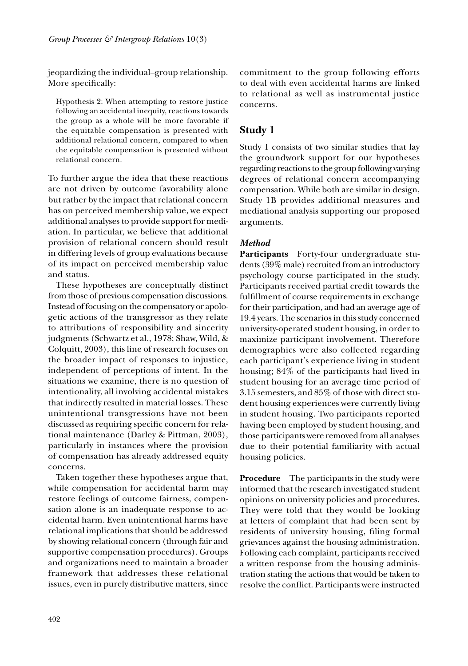jeopardizing the individual–group relationship. More specifically:

Hypothesis 2: When attempting to restore justice following an accidental inequity, reactions towards the group as a whole will be more favorable if the equitable compensation is presented with additional relational concern, compared to when the equitable compensation is presented without relational concern.

To further argue the idea that these reactions are not driven by outcome favorability alone but rather by the impact that relational concern has on perceived membership value, we expect additional analyses to provide support for mediation. In particular, we believe that additional provision of relational concern should result in differing levels of group evaluations because of its impact on perceived membership value and status.

These hypotheses are conceptually distinct from those of previous compensation discussions. Instead of focusing on the compensatory or apologetic actions of the transgressor as they relate to attributions of responsibility and sincerity judgments (Schwartz et al., 1978; Shaw, Wild, & Colquitt, 2003), this line of research focuses on the broader impact of responses to injustice, independent of perceptions of intent. In the situations we examine, there is no question of intentionality, all involving accidental mistakes that indirectly resulted in material losses. These unintentional transgressions have not been discussed as requiring specific concern for relational maintenance (Darley & Pittman, 2003), particularly in instances where the provision of compensation has already addressed equity concerns.

Taken together these hypotheses argue that, while compensation for accidental harm may restore feelings of outcome fairness, compensation alone is an inadequate response to accidental harm. Even unintentional harms have relational implications that should be addressed by showing relational concern (through fair and supportive compensation procedures). Groups and organizations need to maintain a broader framework that addresses these relational issues, even in purely distributive matters, since

commitment to the group following efforts to deal with even accidental harms are linked to relational as well as instrumental justice concerns.

# **Study 1**

Study 1 consists of two similar studies that lay the groundwork support for our hypotheses regarding reactions to the group following varying degrees of relational concern accompanying compensation. While both are similar in design, Study 1B provides additional measures and mediational analysis supporting our proposed arguments.

# *Method*

**Participants** Forty-four undergraduate students (39% male) recruited from an introductory psychology course participated in the study. Participants received partial credit towards the fulfillment of course requirements in exchange for their participation, and had an average age of 19.4 years. The scenarios in this study concerned university-operated student housing, in order to maximize participant involvement. Therefore demographics were also collected regarding each participant's experience living in student housing; 84% of the participants had lived in student housing for an average time period of 3.15 semesters, and 85% of those with direct student housing experiences were currently living in student housing. Two participants reported having been employed by student housing, and those participants were removed from all analyses due to their potential familiarity with actual housing policies.

**Procedure** The participants in the study were informed that the research investigated student opinions on university policies and procedures. They were told that they would be looking at letters of complaint that had been sent by residents of university housing, filing formal grievances against the housing administration. Following each complaint, participants received a written response from the housing administration stating the actions that would be taken to resolve the conflict. Participants were instructed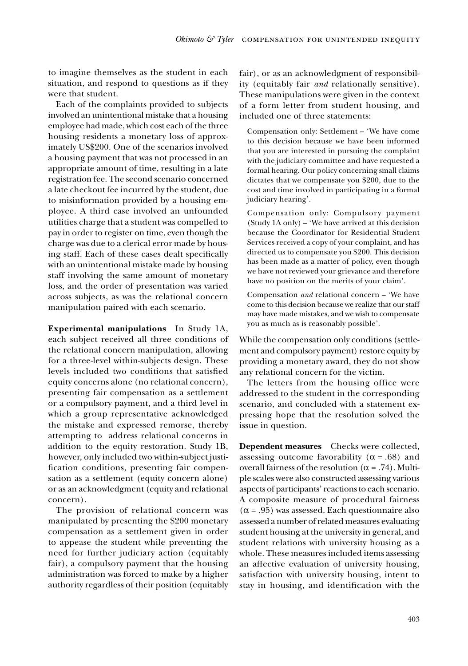to imagine themselves as the student in each situation, and respond to questions as if they were that student.

Each of the complaints provided to subjects involved an unintentional mistake that a housing employee had made, which cost each of the three housing residents a monetary loss of approximately US\$200. One of the scenarios involved a housing payment that was not processed in an appropriate amount of time, resulting in a late registration fee. The second scenario concerned a late checkout fee incurred by the student, due to misinformation provided by a housing employee. A third case involved an unfounded utilities charge that a student was compelled to pay in order to register on time, even though the charge was due to a clerical error made by housing staff. Each of these cases dealt specifically with an unintentional mistake made by housing staff involving the same amount of monetary loss, and the order of presentation was varied across subjects, as was the relational concern manipulation paired with each scenario.

**Experimental manipulations** In Study 1A, each subject received all three conditions of the relational concern manipulation, allowing for a three-level within-subjects design. These levels included two conditions that satisfied equity concerns alone (no relational concern), presenting fair compensation as a settlement or a compulsory payment, and a third level in which a group representative acknowledged the mistake and expressed remorse, thereby attempting to address relational concerns in addition to the equity restoration. Study 1B, however, only included two within-subject justification conditions, presenting fair compensation as a settlement (equity concern alone) or as an acknowledgment (equity and relational concern).

The provision of relational concern was manipulated by presenting the \$200 monetary compensation as a settlement given in order to appease the student while preventing the need for further judiciary action (equitably fair), a compulsory payment that the housing administration was forced to make by a higher authority regardless of their position (equitably fair), or as an acknowledgment of responsibility (equitably fair *and* relationally sensitive). These manipulations were given in the context of a form letter from student housing, and included one of three statements:

Compensation only: Settlement – 'We have come to this decision because we have been informed that you are interested in pursuing the complaint with the judiciary committee and have requested a formal hearing. Our policy concerning small claims dictates that we compensate you \$200, due to the cost and time involved in participating in a formal judiciary hearing'.

Compensation only: Compulsory payment (Study 1A only) – 'We have arrived at this decision because the Coordinator for Residential Student Services received a copy of your complaint, and has directed us to compensate you \$200. This decision has been made as a matter of policy, even though we have not reviewed your grievance and therefore have no position on the merits of your claim'.

Compensation *and* relational concern – 'We have come to this decision because we realize that our staff may have made mistakes, and we wish to compensate you as much as is reasonably possible'.

While the compensation only conditions (settlement and compulsory payment) restore equity by providing a monetary award, they do not show any relational concern for the victim.

The letters from the housing office were addressed to the student in the corresponding scenario, and concluded with a statement expressing hope that the resolution solved the issue in question.

**Dependent measures** Checks were collected, assessing outcome favorability ( $\alpha$  = .68) and overall fairness of the resolution (α = .74). Multiple scales were also constructed assessing various aspects of participants' reactions to each scenario. A composite measure of procedural fairness  $(\alpha = .95)$  was assessed. Each questionnaire also assessed a number of related measures evaluating student housing at the university in general, and student relations with university housing as a whole. These measures included items assessing an affective evaluation of university housing, satisfaction with university housing, intent to stay in housing, and identification with the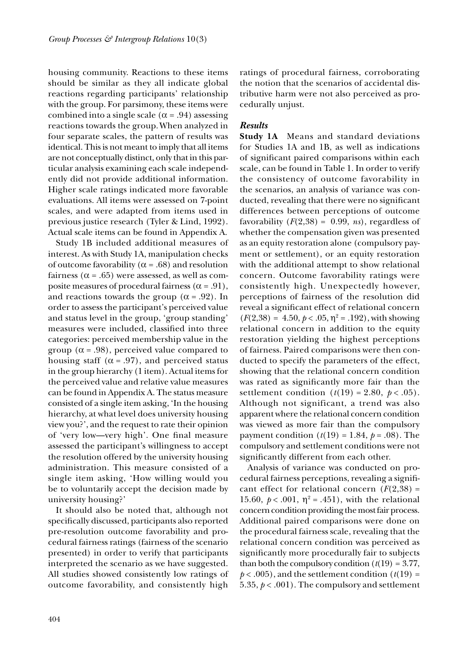housing community. Reactions to these items should be similar as they all indicate global reactions regarding participants' relationship with the group. For parsimony, these items were combined into a single scale ( $\alpha$  = .94) assessing reactions towards the group.When analyzed in four separate scales, the pattern of results was identical. This is not meant to imply that all items are not conceptually distinct, only that in this particular analysis examining each scale independently did not provide additional information. Higher scale ratings indicated more favorable evaluations. All items were assessed on 7-point scales, and were adapted from items used in previous justice research (Tyler & Lind, 1992). Actual scale items can be found in Appendix A.

Study 1B included additional measures of interest. As with Study 1A, manipulation checks of outcome favorability ( $\alpha$  = .68) and resolution fairness ( $\alpha$  = .65) were assessed, as well as composite measures of procedural fairness ( $\alpha$  = .91), and reactions towards the group ( $\alpha$  = .92). In order to assess the participant's perceived value and status level in the group, 'group standing' measures were included, classified into three categories: perceived membership value in the group ( $\alpha$  = .98), perceived value compared to housing staff ( $\alpha$  = .97), and perceived status in the group hierarchy (1 item). Actual items for the perceived value and relative value measures can be found in Appendix A. The status measure consisted of a single item asking, 'In the housing hierarchy, at what level does university housing view you?', and the request to rate their opinion of 'very low—very high'. One final measure assessed the participant's willingness to accept the resolution offered by the university housing administration. This measure consisted of a single item asking, 'How willing would you be to voluntarily accept the decision made by university housing?'

It should also be noted that, although not specifically discussed, participants also reported pre-resolution outcome favorability and procedural fairness ratings (fairness of the scenario presented) in order to verify that participants interpreted the scenario as we have suggested. All studies showed consistently low ratings of outcome favorability, and consistently high ratings of procedural fairness, corroborating the notion that the scenarios of accidental distributive harm were not also perceived as procedurally unjust.

## *Results*

**Study 1A** Means and standard deviations for Studies 1A and 1B, as well as indications of significant paired comparisons within each scale, can be found in Table 1. In order to verify the consistency of outcome favorability in the scenarios, an analysis of variance was conducted, revealing that there were no significant differences between perceptions of outcome favorability  $(F(2,38) = 0.99, ns)$ , regardless of whether the compensation given was presented as an equity restoration alone (compulsory payment or settlement), or an equity restoration with the additional attempt to show relational concern. Outcome favorability ratings were consistently high. Unexpectedly however, perceptions of fairness of the resolution did reveal a significant effect of relational concern  $(F(2,38) = 4.50, p < .05, \eta^2 = .192)$ , with showing relational concern in addition to the equity restoration yielding the highest perceptions of fairness. Paired comparisons were then conducted to specify the parameters of the effect, showing that the relational concern condition was rated as significantly more fair than the settlement condition  $(t(19) = 2.80, p < .05)$ . Although not significant, a trend was also apparent where the relational concern condition was viewed as more fair than the compulsory payment condition  $(t(19) = 1.84, p = .08)$ . The compulsory and settlement conditions were not significantly different from each other.

Analysis of variance was conducted on procedural fairness perceptions, revealing a signifi cant effect for relational concern  $(F(2,38))$  = 15.60,  $p < .001$ ,  $\eta^2 = .451$ ), with the relational concern condition providing the most fair process. Additional paired comparisons were done on the procedural fairness scale, revealing that the relational concern condition was perceived as significantly more procedurally fair to subjects than both the compulsory condition  $(t(19) = 3.77)$ ,  $p < .005$ ), and the settlement condition  $(t(19) =$ 5.35,  $p < .001$ ). The compulsory and settlement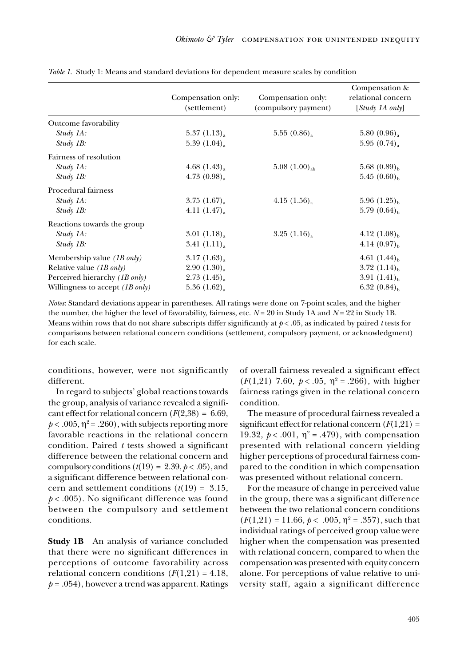|                                           | Compensation only:<br>(settlement) | Compensation only:<br>(compulsory payment) | Compensation &<br>relational concern<br>$[Study\ IA\ only]$ |
|-------------------------------------------|------------------------------------|--------------------------------------------|-------------------------------------------------------------|
| Outcome favorability                      |                                    |                                            |                                                             |
| Study 1A:                                 | 5.37(1.13)                         | 5.55(0.86)                                 | 5.80(0.96)                                                  |
| $Study$ 1B:                               | 5.39(1.04)                         |                                            | 5.95(0.74)                                                  |
| Fairness of resolution                    |                                    |                                            |                                                             |
| Study 1A:                                 | 4.68 $(1.43)$                      | $5.08$ $(1.00)_{ab}$                       | $5.68(0.89)_{h}$                                            |
| $Study$ 1B:                               | 4.73(0.98)                         |                                            | $5.45(0.60)_{h}$                                            |
| Procedural fairness                       |                                    |                                            |                                                             |
| Study 1A:                                 | $3.75$ $(1.67)_{\rm a}$            | 4.15 $(1.56)$ <sub>a</sub>                 | 5.96 $(1.25)_{h}$                                           |
| $Study$ 1B:                               | 4.11(1.47)                         |                                            | 5.79 $(0.64)$ <sub>b</sub>                                  |
| Reactions towards the group               |                                    |                                            |                                                             |
| Study 1A:                                 | 3.01(1.18)                         | 3.25(1.16)                                 | 4.12 $(1.08)_{h}$                                           |
| $Study$ 1B:                               | 3.41(1.11)                         |                                            | $4.14(0.97)_{h}$                                            |
| Membership value $(1B \text{ only})$      | 3.17(1.63)                         |                                            | 4.61 $(1.44)_{h}$                                           |
| Relative value $(1B \text{ only})$        | 2.90(1.30)                         |                                            | 3.72 $(1.14)_{h}$                                           |
| Perceived hierarchy (1B only)             | $2.73$ $(1.45)_{\rm a}$            |                                            | 3.91 $(1.41)_{h}$                                           |
| Willingness to accept $(1B \text{ only})$ | $5.36(1.62)$ <sub>a</sub>          |                                            | 6.32 $(0.84)_{h}$                                           |

*Table 1*. Study 1: Means and standard deviations for dependent measure scales by condition

*Notes*: Standard deviations appear in parentheses. All ratings were done on 7-point scales, and the higher the number, the higher the level of favorability, fairness, etc. *N* = 20 in Study 1A and *N* = 22 in Study 1B. Means within rows that do not share subscripts differ significantly at  $p < .05$ , as indicated by paired *t* tests for comparisons between relational concern conditions (settlement, compulsory payment, or acknowledgment) for each scale.

conditions, however, were not significantly different.

In regard to subjects' global reactions towards the group, analysis of variance revealed a significant effect for relational concern  $(F(2,38) = 6.69)$ ,  $p < .005$ ,  $\eta^2 = .260$ ), with subjects reporting more favorable reactions in the relational concern condition. Paired  $t$  tests showed a significant difference between the relational concern and compulsory conditions  $(t(19) = 2.39, p < .05)$ , and a significant difference between relational concern and settlement conditions  $(t(19) = 3.15,$  $p < .005$ ). No significant difference was found between the compulsory and settlement conditions.

**Study 1B** An analysis of variance concluded that there were no significant differences in perceptions of outcome favorability across relational concern conditions  $(F(1,21) = 4.18$ ,  $p = .054$ ), however a trend was apparent. Ratings of overall fairness revealed a significant effect ( $F(1,21)$  7.60,  $p < .05$ ,  $\eta^2 = .266$ ), with higher fairness ratings given in the relational concern condition.

The measure of procedural fairness revealed a significant effect for relational concern  $(F(1,21) =$ 19.32,  $p < .001$ ,  $\eta^2 = .479$ ), with compensation presented with relational concern yielding higher perceptions of procedural fairness compared to the condition in which compensation was presented without relational concern.

For the measure of change in perceived value in the group, there was a significant difference between the two relational concern conditions  $(F(1,21) = 11.66, p < .005, \eta^2 = .357)$ , such that individual ratings of perceived group value were higher when the compensation was presented with relational concern, compared to when the compensation was presented with equity concern alone. For perceptions of value relative to university staff, again a significant difference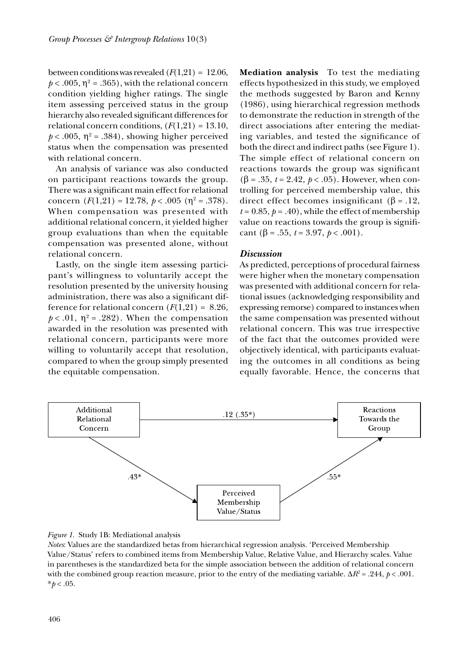between conditions was revealed  $(F(1,21) = 12.06$ ,  $p < .005$ ,  $\eta^2 = .365$ ), with the relational concern condition yielding higher ratings. The single item assessing perceived status in the group hierarchy also revealed significant differences for relational concern conditions,  $(F(1,21) = 13.10,$  $p < .005$ ,  $\eta^2 = .384$ ), showing higher perceived status when the compensation was presented with relational concern.

An analysis of variance was also conducted on participant reactions towards the group. There was a significant main effect for relational concern  $(F(1,21) = 12.78, p < .005 (η<sup>2</sup> = .378).$ When compensation was presented with additional relational concern, it yielded higher group evaluations than when the equitable compensation was presented alone, without relational concern.

Lastly, on the single item assessing participant's willingness to voluntarily accept the resolution presented by the university housing administration, there was also a significant difference for relational concern  $(F(1,21) = 8.26,$  $p < .01$ ,  $\eta^2 = .282$ ). When the compensation awarded in the resolution was presented with relational concern, participants were more willing to voluntarily accept that resolution, compared to when the group simply presented the equitable compensation.

**Mediation analysis** To test the mediating effects hypothesized in this study, we employed the methods suggested by Baron and Kenny (1986), using hierarchical regression methods to demonstrate the reduction in strength of the direct associations after entering the mediating variables, and tested the significance of both the direct and indirect paths (see Figure 1). The simple effect of relational concern on reactions towards the group was significant (β = .35, *t* = 2.42, *p* < .05). However, when controlling for perceived membership value, this direct effect becomes insignificant (β = .12,  $t = 0.85$ ,  $p = .40$ ), while the effect of membership value on reactions towards the group is significant ( $\beta$  = .55, *t* = 3.97, *p* < .001).

## *Discussion*

As predicted, perceptions of procedural fairness were higher when the monetary compensation was presented with additional concern for relational issues (acknowledging responsibility and expressing remorse) compared to instances when the same compensation was presented without relational concern. This was true irrespective of the fact that the outcomes provided were objectively identical, with participants evaluating the outcomes in all conditions as being equally favorable. Hence, the concerns that





*Notes*: Values are the standardized betas from hierarchical regression analysis. 'Perceived Membership Value/Status' refers to combined items from Membership Value, Relative Value, and Hierarchy scales. Value in parentheses is the standardized beta for the simple association between the addition of relational concern with the combined group reaction measure, prior to the entry of the mediating variable.  $\Delta R^2 = .244$ ,  $p < .001$ .  $*<sub>b</sub> < .05$ .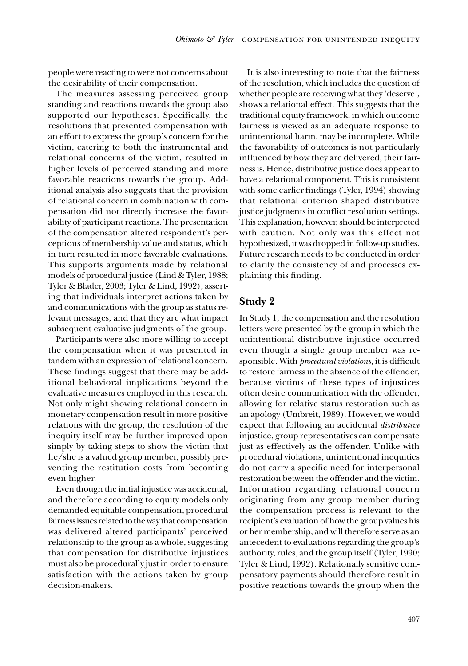people were reacting to were not concerns about the desirability of their compensation.

The measures assessing perceived group standing and reactions towards the group also supported our hypotheses. Specifically, the resolutions that presented compensation with an effort to express the group's concern for the victim, catering to both the instrumental and relational concerns of the victim, resulted in higher levels of perceived standing and more favorable reactions towards the group. Additional analysis also suggests that the provision of relational concern in combination with compensation did not directly increase the favorability of participant reactions. The presentation of the compensation altered respondent's perceptions of membership value and status, which in turn resulted in more favorable evaluations. This supports arguments made by relational models of procedural justice (Lind & Tyler, 1988; Tyler & Blader, 2003; Tyler & Lind, 1992), asserting that individuals interpret actions taken by and communications with the group as status relevant messages, and that they are what impact subsequent evaluative judgments of the group.

Participants were also more willing to accept the compensation when it was presented in tandem with an expression of relational concern. These findings suggest that there may be additional behavioral implications beyond the evaluative measures employed in this research. Not only might showing relational concern in monetary compensation result in more positive relations with the group, the resolution of the inequity itself may be further improved upon simply by taking steps to show the victim that he/she is a valued group member, possibly preventing the restitution costs from becoming even higher.

Even though the initial injustice was accidental, and therefore according to equity models only demanded equitable compensation, procedural fairness issues related to the way that compensation was delivered altered participants' perceived relationship to the group as a whole, suggesting that compensation for distributive injustices must also be procedurally just in order to ensure satisfaction with the actions taken by group decision-makers.

It is also interesting to note that the fairness of the resolution, which includes the question of whether people are receiving what they 'deserve', shows a relational effect. This suggests that the traditional equity framework, in which outcome fairness is viewed as an adequate response to unintentional harm, may be incomplete. While the favorability of outcomes is not particularly influenced by how they are delivered, their fairness is. Hence, distributive justice does appear to have a relational component. This is consistent with some earlier findings (Tyler, 1994) showing that relational criterion shaped distributive justice judgments in conflict resolution settings. This explanation, however, should be interpreted with caution. Not only was this effect not hypothesized, it was dropped in follow-up studies. Future research needs to be conducted in order to clarify the consistency of and processes explaining this finding.

# **Study 2**

In Study 1, the compensation and the resolution letters were presented by the group in which the unintentional distributive injustice occurred even though a single group member was responsible. With *procedural violations*, it is difficult to restore fairness in the absence of the offender, because victims of these types of injustices often desire communication with the offender, allowing for relative status restoration such as an apology (Umbreit, 1989). However, we would expect that following an accidental *distributive* injustice, group representatives can compensate just as effectively as the offender. Unlike with procedural violations, unintentional inequities do not carry a specific need for interpersonal restoration between the offender and the victim. Information regarding relational concern originating from any group member during the compensation process is relevant to the recipient's evaluation of how the group values his or her membership, and will therefore serve as an antecedent to evaluations regarding the group's authority, rules, and the group itself (Tyler, 1990; Tyler & Lind, 1992). Relationally sensitive compensatory payments should therefore result in positive reactions towards the group when the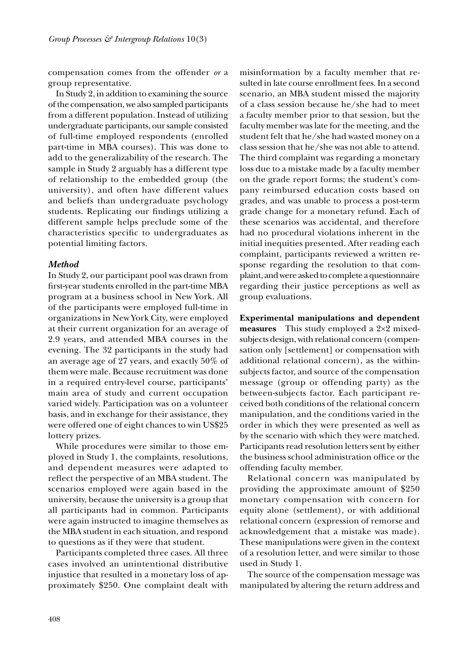compensation comes from the offender *or* a group representative.

In Study 2, in addition to examining the source of the compensation, we also sampled participants from a different population. Instead of utilizing undergraduate participants, our sample consisted of full-time employed respondents (enrolled part-time in MBA courses). This was done to add to the generalizability of the research. The sample in Study 2 arguably has a different type of relationship to the embedded group (the university), and often have different values and beliefs than undergraduate psychology students. Replicating our findings utilizing a different sample helps preclude some of the characteristics specific to undergraduates as potential limiting factors.

## *Method*

In Study 2, our participant pool was drawn from first-year students enrolled in the part-time MBA program at a business school in New York. All of the participants were employed full-time in organizations in New York City, were employed at their current organization for an average of 2.9 years, and attended MBA courses in the evening. The 32 participants in the study had an average age of 27 years, and exactly 50% of them were male. Because recruitment was done in a required entry-level course, participants' main area of study and current occupation varied widely. Participation was on a volunteer basis, and in exchange for their assistance, they were offered one of eight chances to win US\$25 lottery prizes.

While procedures were similar to those employed in Study 1, the complaints, resolutions, and dependent measures were adapted to reflect the perspective of an MBA student. The scenarios employed were again based in the university, because the university is a group that all participants had in common. Participants were again instructed to imagine themselves as the MBA student in each situation, and respond to questions as if they were that student.

Participants completed three cases. All three cases involved an unintentional distributive injustice that resulted in a monetary loss of approximately \$250. One complaint dealt with

misinformation by a faculty member that resulted in late course enrollment fees. In a second scenario, an MBA student missed the majority of a class session because he/she had to meet a faculty member prior to that session, but the faculty member was late for the meeting, and the student felt that he/she had wasted money on a class session that he/she was not able to attend. The third complaint was regarding a monetary loss due to a mistake made by a faculty member on the grade report forms; the student's company reimbursed education costs based on grades, and was unable to process a post-term grade change for a monetary refund. Each of these scenarios was accidental, and therefore had no procedural violations inherent in the initial inequities presented. After reading each complaint, participants reviewed a written response regarding the resolution to that complaint, and were asked to complete a questionnaire regarding their justice perceptions as well as group evaluations.

**Experimental manipulations and dependent measures** This study employed a 2×2 mixedsubjects design, with relational concern (compensation only [settlement] or compensation with additional relational concern), as the withinsubjects factor, and source of the compensation message (group or offending party) as the between-subjects factor. Each participant received both conditions of the relational concern manipulation, and the conditions varied in the order in which they were presented as well as by the scenario with which they were matched. Participants read resolution letters sent by either the business school administration office or the offending faculty member.

Relational concern was manipulated by providing the approximate amount of \$250 monetary compensation with concern for equity alone (settlement), or with additional relational concern (expression of remorse and acknowledgement that a mistake was made). These manipulations were given in the context of a resolution letter, and were similar to those used in Study 1.

The source of the compensation message was manipulated by altering the return address and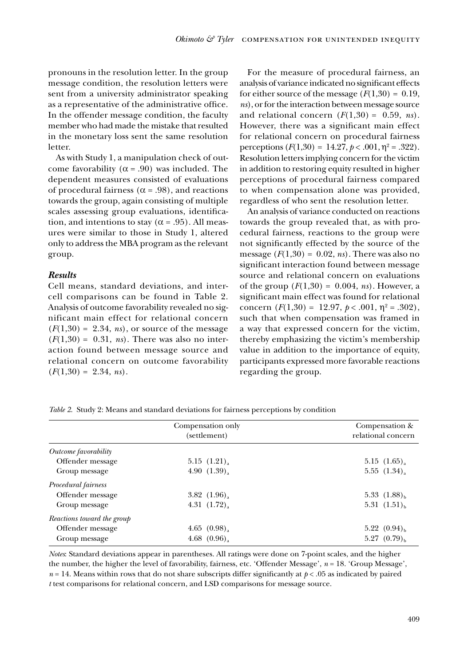pronouns in the resolution letter. In the group message condition, the resolution letters were sent from a university administrator speaking as a representative of the administrative office. In the offender message condition, the faculty member who had made the mistake that resulted in the monetary loss sent the same resolution letter.

As with Study 1, a manipulation check of outcome favorability ( $\alpha$  = .90) was included. The dependent measures consisted of evaluations of procedural fairness ( $\alpha$  = .98), and reactions towards the group, again consisting of multiple scales assessing group evaluations, identification, and intentions to stay ( $\alpha$  = .95). All measures were similar to those in Study 1, altered only to address the MBA program as the relevant group.

## *Results*

Cell means, standard deviations, and intercell comparisons can be found in Table 2. Analysis of outcome favorability revealed no significant main effect for relational concern  $(F(1,30) = 2.34, ns)$ , or source of the message  $(F(1,30) = 0.31, ns)$ . There was also no interaction found between message source and relational concern on outcome favorability  $(F(1,30) = 2.34, ns)$ .

For the measure of procedural fairness, an analysis of variance indicated no significant effects for either source of the message  $(F(1,30) = 0.19)$ , *ns*), or for the interaction between message source and relational concern  $(F(1,30) = 0.59, ns)$ . However, there was a significant main effect for relational concern on procedural fairness perceptions  $(F(1,30) = 14.27, p < .001, \eta^2 = .322)$ . Resolution letters implying concern for the victim in addition to restoring equity resulted in higher perceptions of procedural fairness compared to when compensation alone was provided, regardless of who sent the resolution letter.

An analysis of variance conducted on reactions towards the group revealed that, as with procedural fairness, reactions to the group were not significantly effected by the source of the message  $(F(1,30) = 0.02, ns)$ . There was also no significant interaction found between message source and relational concern on evaluations of the group  $(F(1,30) = 0.004, ns)$ . However, a significant main effect was found for relational concern  $(F(1,30) = 12.97, p < .001, \eta^2 = .302)$ , such that when compensation was framed in a way that expressed concern for the victim, thereby emphasizing the victim's membership value in addition to the importance of equity, participants expressed more favorable reactions regarding the group.

*Table 2*. Study 2: Means and standard deviations for fairness perceptions by condition

|                            | Compensation only<br>(settlement) | Compensation &<br>relational concern |
|----------------------------|-----------------------------------|--------------------------------------|
| Outcome favorability       |                                   |                                      |
| Offender message           | 5.15(1.21)                        | $5.15(1.65)$ ,                       |
| Group message              | 4.90 $(1.39)$                     | 5.55(1.34)                           |
| Procedural fairness        |                                   |                                      |
| Offender message           | 3.82 $(1.96)$                     | 5.33 $(1.88)_{h}$                    |
| Group message              | 4.31 $(1.72)$                     | 5.31 $(1.51)_{h}$                    |
| Reactions toward the group |                                   |                                      |
| Offender message           | 4.65 $(0.98)$                     | 5.22 $(0.94)_{h}$                    |
| Group message              | 4.68 $(0.96)$                     | $5.27(0.79)_{h}$                     |

*Notes*: Standard deviations appear in parentheses. All ratings were done on 7-point scales, and the higher the number, the higher the level of favorability, fairness, etc. 'Offender Message', *n* = 18. 'Group Message',  $n = 14$ . Means within rows that do not share subscripts differ significantly at  $p < .05$  as indicated by paired *t* test comparisons for relational concern, and LSD comparisons for message source.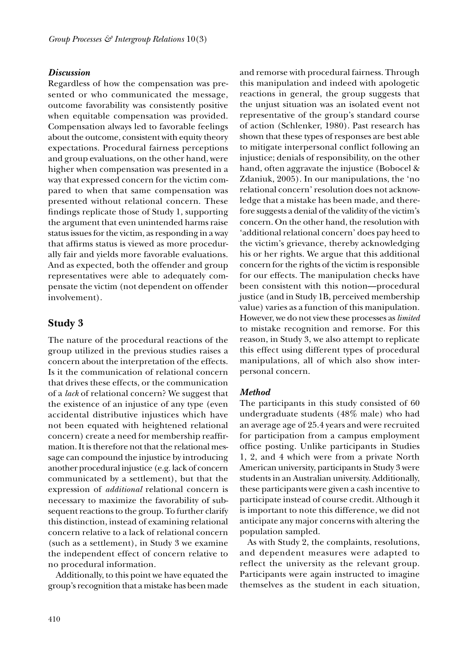## *Discussion*

Regardless of how the compensation was presented or who communicated the message, outcome favorability was consistently positive when equitable compensation was provided. Compensation always led to favorable feelings about the outcome, consistent with equity theory expectations. Procedural fairness perceptions and group evaluations, on the other hand, were higher when compensation was presented in a way that expressed concern for the victim compared to when that same compensation was presented without relational concern. These findings replicate those of Study 1, supporting the argument that even unintended harms raise status issues for the victim, as responding in a way that affirms status is viewed as more procedurally fair and yields more favorable evaluations. And as expected, both the offender and group representatives were able to adequately compensate the victim (not dependent on offender involvement).

# **Study 3**

The nature of the procedural reactions of the group utilized in the previous studies raises a concern about the interpretation of the effects. Is it the communication of relational concern that drives these effects, or the communication of a *lack* of relational concern? We suggest that the existence of an injustice of any type (even accidental distributive injustices which have not been equated with heightened relational concern) create a need for membership reaffirmation. It is therefore not that the relational message can compound the injustice by introducing another procedural injustice (e.g. lack of concern communicated by a settlement), but that the expression of *additional* relational concern is necessary to maximize the favorability of subsequent reactions to the group. To further clarify this distinction, instead of examining relational concern relative to a lack of relational concern (such as a settlement), in Study 3 we examine the independent effect of concern relative to no procedural information.

Additionally, to this point we have equated the group's recognition that a mistake has been made

and remorse with procedural fairness. Through this manipulation and indeed with apologetic reactions in general, the group suggests that the unjust situation was an isolated event not representative of the group's standard course of action (Schlenker, 1980). Past research has shown that these types of responses are best able to mitigate interpersonal conflict following an injustice; denials of responsibility, on the other hand, often aggravate the injustice (Bobocel & Zdaniuk, 2005). In our manipulations, the 'no relational concern' resolution does not acknowledge that a mistake has been made, and therefore suggests a denial of the validity of the victim's concern. On the other hand, the resolution with 'additional relational concern' does pay heed to the victim's grievance, thereby acknowledging his or her rights. We argue that this additional concern for the rights of the victim is responsible for our effects. The manipulation checks have been consistent with this notion—procedural justice (and in Study 1B, perceived membership value) varies as a function of this manipulation. However, we do not view these processes as *limited* to mistake recognition and remorse. For this reason, in Study 3, we also attempt to replicate this effect using different types of procedural manipulations, all of which also show interpersonal concern.

#### *Method*

The participants in this study consisted of 60 undergraduate students (48% male) who had an average age of 25.4 years and were recruited for participation from a campus employment office posting. Unlike participants in Studies 1, 2, and 4 which were from a private North American university, participants in Study 3 were students in an Australian university. Additionally, these participants were given a cash incentive to participate instead of course credit. Although it is important to note this difference, we did not anticipate any major concerns with altering the population sampled.

As with Study 2, the complaints, resolutions, and dependent measures were adapted to reflect the university as the relevant group. Participants were again instructed to imagine themselves as the student in each situation,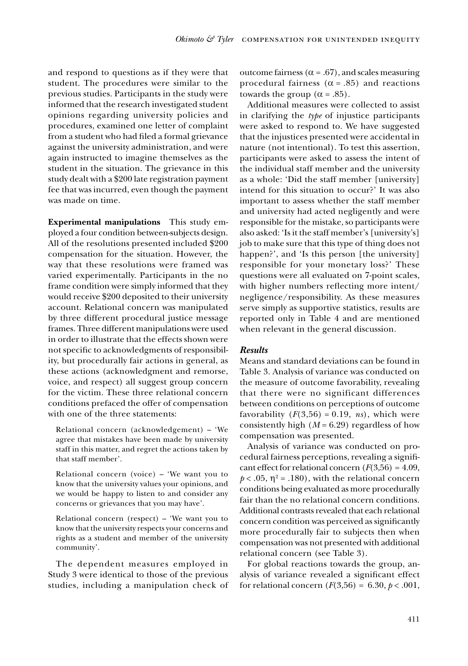and respond to questions as if they were that student. The procedures were similar to the previous studies. Participants in the study were informed that the research investigated student opinions regarding university policies and procedures, examined one letter of complaint from a student who had filed a formal grievance against the university administration, and were again instructed to imagine themselves as the student in the situation. The grievance in this study dealt with a \$200 late registration payment fee that was incurred, even though the payment was made on time.

**Experimental manipulations** This study employed a four condition between-subjects design. All of the resolutions presented included \$200 compensation for the situation. However, the way that these resolutions were framed was varied experimentally. Participants in the no frame condition were simply informed that they would receive \$200 deposited to their university account. Relational concern was manipulated by three different procedural justice message frames. Three different manipulations were used in order to illustrate that the effects shown were not specific to acknowledgments of responsibility, but procedurally fair actions in general, as these actions (acknowledgment and remorse, voice, and respect) all suggest group concern for the victim. These three relational concern conditions prefaced the offer of compensation with one of the three statements:

Relational concern (acknowledgement) – 'We agree that mistakes have been made by university staff in this matter, and regret the actions taken by that staff member'.

Relational concern (voice) – 'We want you to know that the university values your opinions, and we would be happy to listen to and consider any concerns or grievances that you may have'.

Relational concern (respect) – 'We want you to know that the university respects your concerns and rights as a student and member of the university community'.

The dependent measures employed in Study 3 were identical to those of the previous studies, including a manipulation check of outcome fairness ( $\alpha$  = .67), and scales measuring procedural fairness ( $\alpha$  = .85) and reactions towards the group  $(\alpha = .85)$ .

Additional measures were collected to assist in clarifying the *type* of injustice participants were asked to respond to. We have suggested that the injustices presented were accidental in nature (not intentional). To test this assertion, participants were asked to assess the intent of the individual staff member and the university as a whole: 'Did the staff member [university] intend for this situation to occur?' It was also important to assess whether the staff member and university had acted negligently and were responsible for the mistake, so participants were also asked: 'Is it the staff member's [university's] job to make sure that this type of thing does not happen?', and 'Is this person [the university] responsible for your monetary loss?' These questions were all evaluated on 7-point scales, with higher numbers reflecting more intent/ negligence/responsibility. As these measures serve simply as supportive statistics, results are reported only in Table 4 and are mentioned when relevant in the general discussion.

## *Results*

Means and standard deviations can be found in Table 3. Analysis of variance was conducted on the measure of outcome favorability, revealing that there were no significant differences between conditions on perceptions of outcome favorability  $(F(3,56) = 0.19, ns)$ , which were consistently high  $(M = 6.29)$  regardless of how compensation was presented.

Analysis of variance was conducted on procedural fairness perceptions, revealing a signifi cant effect for relational concern  $(F(3,56) = 4.09,$  $p < .05$ ,  $\eta^2 = .180$ ), with the relational concern conditions being evaluated as more procedurally fair than the no relational concern conditions. Additional contrasts revealed that each relational concern condition was perceived as significantly more procedurally fair to subjects then when compensation was not presented with additional relational concern (see Table 3).

For global reactions towards the group, analysis of variance revealed a significant effect for relational concern  $(F(3,56) = 6.30, p < .001,$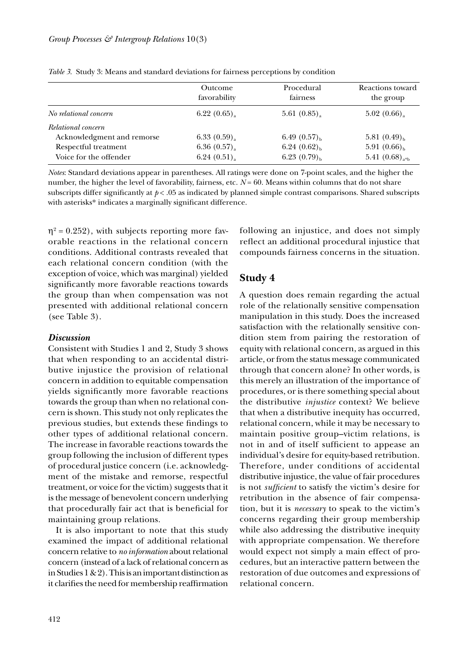|                            | Outcome<br>favorability | Procedural<br>fairness | Reactions toward<br>the group                    |
|----------------------------|-------------------------|------------------------|--------------------------------------------------|
| No relational concern      | 6.22(0.65)              | 5.61(0.85)             | 5.02(0.66)                                       |
| Relational concern         |                         |                        |                                                  |
| Acknowledgment and remorse | 6.33(0.59)              | 6.49(0.57)             | 5.81 $(0.49)_{h}$                                |
| Respectful treatment       | 6.36(0.57)              | $6.24~(0.62)_{h}$      | 5.91 $(0.66)_{h}$                                |
| Voice for the offender     | 6.24(0.51)              | 6.23 $(0.79)_{h}$      | 5.41 $(0.68)_{\rm a}$ <sub>2</sub> <sup>th</sup> |

*Table 3*. Study 3: Means and standard deviations for fairness perceptions by condition

*Notes*: Standard deviations appear in parentheses. All ratings were done on 7-point scales, and the higher the number, the higher the level of favorability, fairness, etc.  $N = 60$ . Means within columns that do not share subscripts differ significantly at  $p < .05$  as indicated by planned simple contrast comparisons. Shared subscripts with asterisks\* indicates a marginally significant difference.

 $\eta^2$  = 0.252), with subjects reporting more favorable reactions in the relational concern conditions. Additional contrasts revealed that each relational concern condition (with the exception of voice, which was marginal) yielded significantly more favorable reactions towards the group than when compensation was not presented with additional relational concern (see Table 3).

#### *Discussion*

Consistent with Studies 1 and 2, Study 3 shows that when responding to an accidental distributive injustice the provision of relational concern in addition to equitable compensation yields significantly more favorable reactions towards the group than when no relational concern is shown. This study not only replicates the previous studies, but extends these findings to other types of additional relational concern. The increase in favorable reactions towards the group following the inclusion of different types of procedural justice concern (i.e. acknowledgment of the mistake and remorse, respectful treatment, or voice for the victim) suggests that it is the message of benevolent concern underlying that procedurally fair act that is beneficial for maintaining group relations.

It is also important to note that this study examined the impact of additional relational concern relative to *no information* about relational concern (instead of a lack of relational concern as in Studies 1 & 2). This is an important distinction as it clarifies the need for membership reaffirmation

following an injustice, and does not simply reflect an additional procedural injustice that compounds fairness concerns in the situation.

# **Study 4**

A question does remain regarding the actual role of the relationally sensitive compensation manipulation in this study. Does the increased satisfaction with the relationally sensitive condition stem from pairing the restoration of equity with relational concern, as argued in this article, or from the status message communicated through that concern alone? In other words, is this merely an illustration of the importance of procedures, or is there something special about the distributive *injustice* context? We believe that when a distributive inequity has occurred, relational concern, while it may be necessary to maintain positive group–victim relations, is not in and of itself sufficient to appease an individual's desire for equity-based retribution. Therefore, under conditions of accidental distributive injustice, the value of fair procedures is not *sufficient* to satisfy the victim's desire for retribution in the absence of fair compensation, but it is *necessary* to speak to the victim's concerns regarding their group membership while also addressing the distributive inequity with appropriate compensation. We therefore would expect not simply a main effect of procedures, but an interactive pattern between the restoration of due outcomes and expressions of relational concern.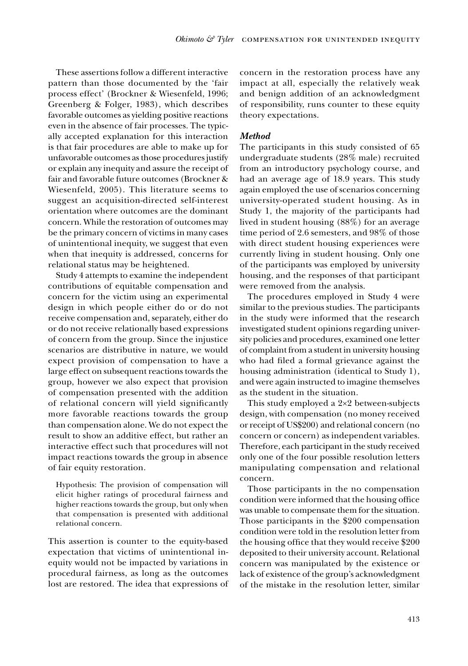These assertions follow a different interactive pattern than those documented by the 'fair process effect' (Brockner & Wiesenfeld, 1996; Greenberg & Folger, 1983), which describes favorable outcomes as yielding positive reactions even in the absence of fair processes. The typically accepted explanation for this interaction is that fair procedures are able to make up for unfavorable outcomes as those procedures justify or explain any inequity and assure the receipt of fair and favorable future outcomes (Brockner & Wiesenfeld, 2005). This literature seems to suggest an acquisition-directed self-interest orientation where outcomes are the dominant concern. While the restoration of outcomes may be the primary concern of victims in many cases of unintentional inequity, we suggest that even when that inequity is addressed, concerns for relational status may be heightened.

Study 4 attempts to examine the independent contributions of equitable compensation and concern for the victim using an experimental design in which people either do or do not receive compensation and, separately, either do or do not receive relationally based expressions of concern from the group. Since the injustice scenarios are distributive in nature, we would expect provision of compensation to have a large effect on subsequent reactions towards the group, however we also expect that provision of compensation presented with the addition of relational concern will yield significantly more favorable reactions towards the group than compensation alone. We do not expect the result to show an additive effect, but rather an interactive effect such that procedures will not impact reactions towards the group in absence of fair equity restoration.

Hypothesis: The provision of compensation will elicit higher ratings of procedural fairness and higher reactions towards the group, but only when that compensation is presented with additional relational concern.

This assertion is counter to the equity-based expectation that victims of unintentional inequity would not be impacted by variations in procedural fairness, as long as the outcomes lost are restored. The idea that expressions of concern in the restoration process have any impact at all, especially the relatively weak and benign addition of an acknowledgment of responsibility, runs counter to these equity theory expectations.

## *Method*

The participants in this study consisted of 65 undergraduate students (28% male) recruited from an introductory psychology course, and had an average age of 18.9 years. This study again employed the use of scenarios concerning university-operated student housing. As in Study 1, the majority of the participants had lived in student housing (88%) for an average time period of 2.6 semesters, and 98% of those with direct student housing experiences were currently living in student housing. Only one of the participants was employed by university housing, and the responses of that participant were removed from the analysis.

The procedures employed in Study 4 were similar to the previous studies. The participants in the study were informed that the research investigated student opinions regarding university policies and procedures, examined one letter of complaint from a student in university housing who had filed a formal grievance against the housing administration (identical to Study 1), and were again instructed to imagine themselves as the student in the situation.

This study employed a 2×2 between-subjects design, with compensation (no money received or receipt of US\$200) and relational concern (no concern or concern) as independent variables. Therefore, each participant in the study received only one of the four possible resolution letters manipulating compensation and relational concern.

Those participants in the no compensation condition were informed that the housing office was unable to compensate them for the situation. Those participants in the \$200 compensation condition were told in the resolution letter from the housing office that they would receive  $$200$ deposited to their university account. Relational concern was manipulated by the existence or lack of existence of the group's acknowledgment of the mistake in the resolution letter, similar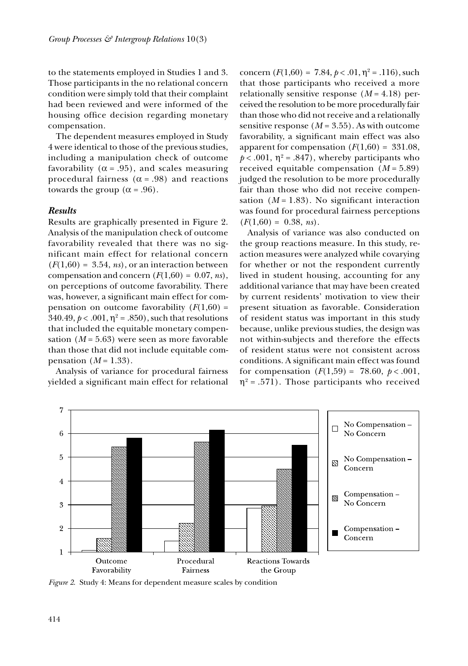to the statements employed in Studies 1 and 3. Those participants in the no relational concern condition were simply told that their complaint had been reviewed and were informed of the housing office decision regarding monetary compensation.

The dependent measures employed in Study 4 were identical to those of the previous studies, including a manipulation check of outcome favorability ( $\alpha = .95$ ), and scales measuring procedural fairness ( $\alpha$  = .98) and reactions towards the group ( $\alpha$  = .96).

#### *Results*

Results are graphically presented in Figure 2. Analysis of the manipulation check of outcome favorability revealed that there was no significant main effect for relational concern  $(F(1,60) = 3.54, ns)$ , or an interaction between compensation and concern  $(F(1,60) = 0.07, ns)$ , on perceptions of outcome favorability. There was, however, a significant main effect for compensation on outcome favorability  $(F(1,60))$  = 340.49,  $p < .001$ ,  $\eta^2 = .850$ ), such that resolutions that included the equitable monetary compensation (*M* = 5.63) were seen as more favorable than those that did not include equitable compensation  $(M = 1.33)$ .

Analysis of variance for procedural fairness yielded a significant main effect for relational

concern  $(F(1,60) = 7.84, p < .01, \eta^2 = .116)$ , such that those participants who received a more relationally sensitive response  $(M = 4.18)$  perceived the resolution to be more procedurally fair than those who did not receive and a relationally sensitive response  $(M = 3.55)$ . As with outcome favorability, a significant main effect was also apparent for compensation  $(F(1,60) = 331.08)$ ,  $p < .001$ ,  $\eta^2 = .847$ ), whereby participants who received equitable compensation (*M* = 5.89) judged the resolution to be more procedurally fair than those who did not receive compensation  $(M = 1.83)$ . No significant interaction was found for procedural fairness perceptions  $(F(1,60) = 0.38, ns)$ .

Analysis of variance was also conducted on the group reactions measure. In this study, reaction measures were analyzed while covarying for whether or not the respondent currently lived in student housing, accounting for any additional variance that may have been created by current residents' motivation to view their present situation as favorable. Consideration of resident status was important in this study because, unlike previous studies, the design was not within-subjects and therefore the effects of resident status were not consistent across conditions. A significant main effect was found for compensation  $(F(1,59) = 78.60, p < .001,$  $\eta^2$  = .571). Those participants who received



*Figure 2*. Study 4: Means for dependent measure scales by condition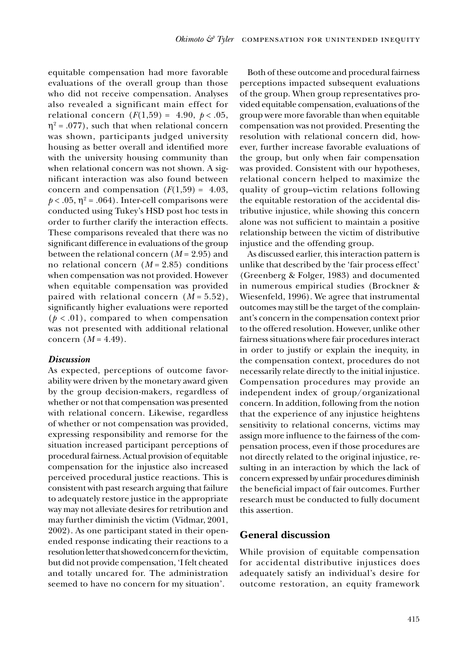equitable compensation had more favorable evaluations of the overall group than those who did not receive compensation. Analyses also revealed a significant main effect for relational concern  $(F(1,59) = 4.90, p < .05,$  $\eta^2$  = .077), such that when relational concern was shown, participants judged university housing as better overall and identified more with the university housing community than when relational concern was not shown. A significant interaction was also found between concern and compensation  $(F(1,59) = 4.03)$ ,  $p < .05$ ,  $\eta^2 = .064$ ). Inter-cell comparisons were conducted using Tukey's HSD post hoc tests in order to further clarify the interaction effects. These comparisons revealed that there was no significant difference in evaluations of the group between the relational concern (*M* = 2.95) and no relational concern (*M* = 2.85) conditions when compensation was not provided. However when equitable compensation was provided paired with relational concern (*M* = 5.52), significantly higher evaluations were reported  $(p < .01)$ , compared to when compensation was not presented with additional relational concern  $(M = 4.49)$ .

#### *Discussion*

As expected, perceptions of outcome favorability were driven by the monetary award given by the group decision-makers, regardless of whether or not that compensation was presented with relational concern. Likewise, regardless of whether or not compensation was provided, expressing responsibility and remorse for the situation increased participant perceptions of procedural fairness. Actual provision of equitable compensation for the injustice also increased perceived procedural justice reactions. This is consistent with past research arguing that failure to adequately restore justice in the appropriate way may not alleviate desires for retribution and may further diminish the victim (Vidmar, 2001, 2002). As one participant stated in their openended response indicating their reactions to a resolution letter that showed concern for the victim, but did not provide compensation, 'I felt cheated and totally uncared for. The administration seemed to have no concern for my situation'.

Both of these outcome and procedural fairness perceptions impacted subsequent evaluations of the group. When group representatives provided equitable compensation, evaluations of the group were more favorable than when equitable compensation was not provided. Presenting the resolution with relational concern did, however, further increase favorable evaluations of the group, but only when fair compensation was provided. Consistent with our hypotheses, relational concern helped to maximize the quality of group–victim relations following the equitable restoration of the accidental distributive injustice, while showing this concern alone was not sufficient to maintain a positive relationship between the victim of distributive injustice and the offending group.

As discussed earlier, this interaction pattern is unlike that described by the 'fair process effect' (Greenberg & Folger, 1983) and documented in numerous empirical studies (Brockner & Wiesenfeld, 1996). We agree that instrumental outcomes may still be the target of the complainant's concern in the compensation context prior to the offered resolution. However, unlike other fairness situations where fair procedures interact in order to justify or explain the inequity, in the compensation context, procedures do not necessarily relate directly to the initial injustice. Compensation procedures may provide an independent index of group/organizational concern. In addition, following from the notion that the experience of any injustice heightens sensitivity to relational concerns, victims may assign more influence to the fairness of the compensation process, even if those procedures are not directly related to the original injustice, resulting in an interaction by which the lack of concern expressed by unfair procedures diminish the beneficial impact of fair outcomes. Further research must be conducted to fully document this assertion.

## **General discussion**

While provision of equitable compensation for accidental distributive injustices does adequately satisfy an individual's desire for outcome restoration, an equity framework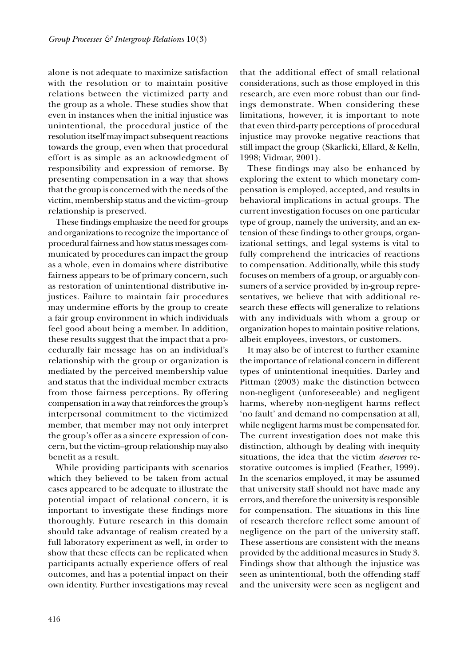alone is not adequate to maximize satisfaction with the resolution or to maintain positive relations between the victimized party and the group as a whole. These studies show that even in instances when the initial injustice was unintentional, the procedural justice of the resolution itself may impact subsequent reactions towards the group, even when that procedural effort is as simple as an acknowledgment of responsibility and expression of remorse. By presenting compensation in a way that shows that the group is concerned with the needs of the victim, membership status and the victim–group relationship is preserved.

These findings emphasize the need for groups and organizations to recognize the importance of procedural fairness and how status messages communicated by procedures can impact the group as a whole, even in domains where distributive fairness appears to be of primary concern, such as restoration of unintentional distributive injustices. Failure to maintain fair procedures may undermine efforts by the group to create a fair group environment in which individuals feel good about being a member. In addition, these results suggest that the impact that a procedurally fair message has on an individual's relationship with the group or organization is mediated by the perceived membership value and status that the individual member extracts from those fairness perceptions. By offering compensation in a way that reinforces the group's interpersonal commitment to the victimized member, that member may not only interpret the group's offer as a sincere expression of concern, but the victim–group relationship may also benefit as a result.

While providing participants with scenarios which they believed to be taken from actual cases appeared to be adequate to illustrate the potential impact of relational concern, it is important to investigate these findings more thoroughly. Future research in this domain should take advantage of realism created by a full laboratory experiment as well, in order to show that these effects can be replicated when participants actually experience offers of real outcomes, and has a potential impact on their own identity. Further investigations may reveal that the additional effect of small relational considerations, such as those employed in this research, are even more robust than our findings demonstrate. When considering these limitations, however, it is important to note that even third-party perceptions of procedural injustice may provoke negative reactions that still impact the group (Skarlicki, Ellard, & Kelln, 1998; Vidmar, 2001).

These findings may also be enhanced by exploring the extent to which monetary compensation is employed, accepted, and results in behavioral implications in actual groups. The current investigation focuses on one particular type of group, namely the university, and an extension of these findings to other groups, organizational settings, and legal systems is vital to fully comprehend the intricacies of reactions to compensation. Additionally, while this study focuses on members of a group, or arguably consumers of a service provided by in-group representatives, we believe that with additional research these effects will generalize to relations with any individuals with whom a group or organization hopes to maintain positive relations, albeit employees, investors, or customers.

It may also be of interest to further examine the importance of relational concern in different types of unintentional inequities. Darley and Pittman (2003) make the distinction between non-negligent (unforeseeable) and negligent harms, whereby non-negligent harms reflect 'no fault' and demand no compensation at all, while negligent harms must be compensated for. The current investigation does not make this distinction, although by dealing with inequity situations, the idea that the victim *deserves* restorative outcomes is implied (Feather, 1999). In the scenarios employed, it may be assumed that university staff should not have made any errors, and therefore the university is responsible for compensation. The situations in this line of research therefore reflect some amount of negligence on the part of the university staff. These assertions are consistent with the means provided by the additional measures in Study 3. Findings show that although the injustice was seen as unintentional, both the offending staff and the university were seen as negligent and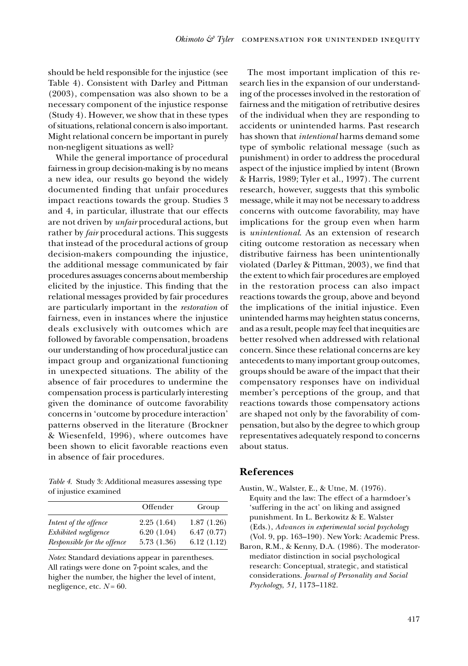should be held responsible for the injustice (see Table 4). Consistent with Darley and Pittman (2003), compensation was also shown to be a necessary component of the injustice response (Study 4). However, we show that in these types of situations, relational concern is also important. Might relational concern be important in purely non-negligent situations as well?

While the general importance of procedural fairness in group decision-making is by no means a new idea, our results go beyond the widely documented finding that unfair procedures impact reactions towards the group. Studies 3 and 4, in particular, illustrate that our effects are not driven by *unfair* procedural actions, but rather by *fair* procedural actions. This suggests that instead of the procedural actions of group decision-makers compounding the injustice, the additional message communicated by fair procedures assuages concerns about membership elicited by the injustice. This finding that the relational messages provided by fair procedures are particularly important in the *restoration* of fairness, even in instances where the injustice deals exclusively with outcomes which are followed by favorable compensation, broadens our understanding of how procedural justice can impact group and organizational functioning in unexpected situations. The ability of the absence of fair procedures to undermine the compensation process is particularly interesting given the dominance of outcome favorability concerns in 'outcome by procedure interaction' patterns observed in the literature (Brockner & Wiesenfeld, 1996), where outcomes have been shown to elicit favorable reactions even in absence of fair procedures.

*Table 4*. Study 3: Additional measures assessing type of injustice examined

|                             | Offender   | Group      |
|-----------------------------|------------|------------|
| Intent of the offence       | 2.25(1.64) | 1.87(1.26) |
| Exhibited negligence        | 6.20(1.04) | 6.47(0.77) |
| Responsible for the offence | 5.73(1.36) | 6.12(1.12) |

*Notes*: Standard deviations appear in parentheses. All ratings were done on 7-point scales, and the higher the number, the higher the level of intent, negligence, etc.  $N = 60$ .

The most important implication of this research lies in the expansion of our understanding of the processes involved in the restoration of fairness and the mitigation of retributive desires of the individual when they are responding to accidents or unintended harms. Past research has shown that *intentional* harms demand some type of symbolic relational message (such as punishment) in order to address the procedural aspect of the injustice implied by intent (Brown & Harris, 1989; Tyler et al., 1997). The current research, however, suggests that this symbolic message, while it may not be necessary to address concerns with outcome favorability, may have implications for the group even when harm is *unintentional*. As an extension of research citing outcome restoration as necessary when distributive fairness has been unintentionally violated (Darley & Pittman, 2003), we find that the extent to which fair procedures are employed in the restoration process can also impact reactions towards the group, above and beyond the implications of the initial injustice. Even unintended harms may heighten status concerns, and as a result, people may feel that inequities are better resolved when addressed with relational concern. Since these relational concerns are key antecedents to many important group outcomes, groups should be aware of the impact that their compensatory responses have on individual member's perceptions of the group, and that reactions towards those compensatory actions are shaped not only by the favorability of compensation, but also by the degree to which group representatives adequately respond to concerns about status.

# **References**

- Austin, W., Walster, E., & Utne, M. (1976). Equity and the law: The effect of a harmdoer's 'suffering in the act' on liking and assigned punishment. In L. Berkowitz & E. Walster (Eds.), *Advances in experimental social psychology*  (Vol. 9, pp. 163–190)*.* New York: Academic Press.
- Baron, R.M., & Kenny, D.A. (1986). The moderatormediator distinction in social psychological research: Conceptual, strategic, and statistical considerations. *Journal of Personality and Social Psychology*, *51,* 1173–1182.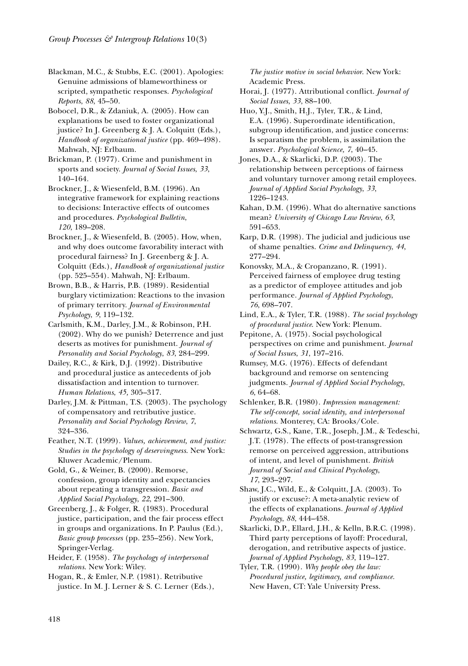Blackman, M.C., & Stubbs, E.C. (2001). Apologies: Genuine admissions of blameworthiness or scripted, sympathetic responses. *Psychological Reports*, *88*, 45–50.

Bobocel, D.R., & Zdaniuk, A. (2005). How can explanations be used to foster organizational justice? In J. Greenberg & J. A. Colquitt (Eds.), *Handbook of organizational justice* (pp. 469–498). Mahwah, NJ: Erlbaum.

Brickman, P. (1977). Crime and punishment in sports and society. *Journal of Social Issues*, *33*, 140–164.

Brockner, J., & Wiesenfeld, B.M. (1996). An integrative framework for explaining reactions to decisions: Interactive effects of outcomes and procedures. *Psychological Bulletin*, *120*, 189–208.

Brockner, J., & Wiesenfeld, B. (2005). How, when, and why does outcome favorability interact with procedural fairness? In J. Greenberg & J. A. Colquitt (Eds.), *Handbook of organizational justice*  (pp. 525–554). Mahwah, NJ: Erlbaum.

Brown, B.B., & Harris, P.B. (1989). Residential burglary victimization: Reactions to the invasion of primary territory. *Journal of Environmental Psychology*, *9*, 119–132.

Carlsmith, K.M., Darley, J.M., & Robinson, P.H. (2002). Why do we punish? Deterrence and just deserts as motives for punishment. *Journal of Personality and Social Psychology*, *83*, 284–299.

Dailey, R.C., & Kirk, D.J. (1992). Distributive and procedural justice as antecedents of job dissatisfaction and intention to turnover. *Human Relations*, *45,* 305–317.

Darley, J.M. & Pittman, T.S. (2003). The psychology of compensatory and retributive justice. *Personality and Social Psychology Review*, *7*, 324–336.

Feather, N.T. (1999). *Values, achievement, and justice: Studies in the psychology of deservingness*. New York: Kluwer Academic/Plenum.

Gold, G., & Weiner, B. (2000). Remorse, confession, group identity and expectancies about repeating a transgression. *Basic and Applied Social Psychology*, *22*, 291–300.

Greenberg, J., & Folger, R. (1983). Procedural justice, participation, and the fair process effect in groups and organizations. In P. Paulus (Ed.), *Basic group processes* (pp. 235–256). New York, Springer-Verlag.

Heider, F. (1958). *The psychology of interpersonal relations*. New York: Wiley.

Hogan, R., & Emler, N.P. (1981). Retributive justice. In M. J. Lerner & S. C. Lerner (Eds.), *The justice motive in social behavior*. New York: Academic Press.

Horai, J. (1977). Attributional conflict. *Journal of Social Issues*, *33*, 88–100.

Huo, Y.J., Smith, H.J., Tyler, T.R., & Lind, E.A. (1996). Superordinate identification, subgroup identification, and justice concerns: Is separatism the problem, is assimilation the answer*. Psychological Science, 7*, 40–45.

Jones, D.A., & Skarlicki, D.P. (2003). The relationship between perceptions of fairness and voluntary turnover among retail employees. *Journal of Applied Social Psychology*, *33*, 1226–1243.

Kahan, D.M. (1996). What do alternative sanctions mean? *University of Chicago Law Review*, *63*, 591–653.

Karp, D.R. (1998). The judicial and judicious use of shame penalties. *Crime and Delinquency*, *44*, 277–294.

Konovsky, M.A., & Cropanzano, R. (1991). Perceived fairness of employee drug testing as a predictor of employee attitudes and job performance. *Journal of Applied Psychology*, *76*, 698–707.

Lind, E.A., & Tyler, T.R. (1988). *The social psychology of procedural justice*. New York: Plenum.

Pepitone, A. (1975). Social psychological perspectives on crime and punishment. *Journal of Social Issues*, *31*, 197–216.

Rumsey, M.G. (1976). Effects of defendant background and remorse on sentencing judgments. *Journal of Applied Social Psychology*, *6*, 64–68.

Schlenker, B.R. (1980). *Impression management: The self-concept, social identity, and interpersonal relations*. Monterey, CA: Brooks/Cole.

Schwartz, G.S., Kane, T.R., Joseph, J.M., & Tedeschi, J.T. (1978). The effects of post-transgression remorse on perceived aggression, attributions of intent, and level of punishment. *British Journal of Social and Clinical Psychology*, *17*, 293–297.

Shaw, J.C., Wild, E., & Colquitt, J.A. (2003). To justify or excuse?: A meta-analytic review of the effects of explanations. *Journal of Applied Psychology*, *88*, 444–458.

Skarlicki, D.P., Ellard, J.H., & Kelln, B.R.C. (1998). Third party perceptions of layoff: Procedural, derogation, and retributive aspects of justice. *Journal of Applied Psychology*, *83*, 119–127.

Tyler, T.R. (1990). *Why people obey the law: Procedural justice, legitimacy, and compliance.* New Haven, CT: Yale University Press.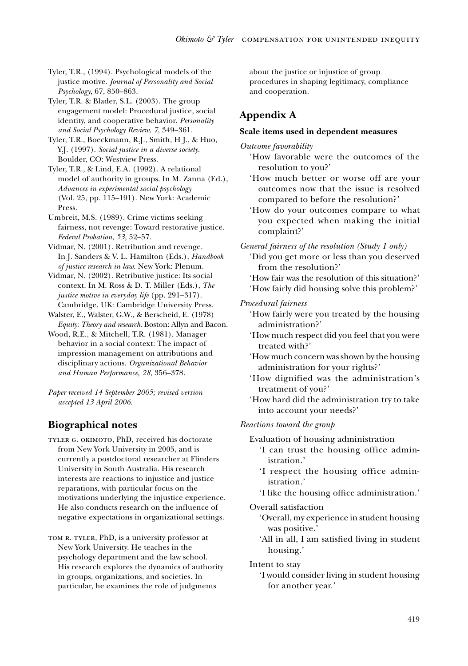Tyler, T.R., (1994). Psychological models of the justice motive. *Journal of Personality and Social Psychology*, 67, 850–863.

Tyler, T.R. & Blader, S.L. (2003). The group engagement model: Procedural justice, social identity, and cooperative behavior. *Personality and Social Psychology Review*, *7*, 349–361.

Tyler, T.R., Boeckmann, R.J., Smith, H J., & Huo, Y.J. (1997). *Social justice in a diverse society*. Boulder, CO: Westview Press.

Tyler, T.R., & Lind, E.A. (1992). A relational model of authority in groups. In M. Zanna (Ed.), *Advances in experimental social psychology*  (Vol. 25, pp. 115–191). New York: Academic Press.

Umbreit, M.S. (1989). Crime victims seeking fairness, not revenge: Toward restorative justice. *Federal Probation*, *53*, 52–57.

Vidmar, N. (2001). Retribution and revenge. In J. Sanders & V. L. Hamilton (Eds.), *Handbook of justice research in law*. New York: Plenum.

Vidmar, N. (2002). Retributive justice: Its social context. In M. Ross & D. T. Miller (Eds.), *The justice motive in everyday life* (pp. 291–317). Cambridge, UK: Cambridge University Press.

Walster, E., Walster, G.W., & Berscheid, E. (1978) *Equity: Theory and research*. Boston: Allyn and Bacon.

Wood, R.E., & Mitchell, T.R. (1981). Manager behavior in a social context: The impact of impression management on attributions and disciplinary actions. *Organizational Behavior and Human Performance, 28*, 356–378.

*Paper received 14 September 2005; revised version accepted 13 April 2006*.

# **Biographical notes**

TYLER G. OKIMOTO, PhD, received his doctorate from New York University in 2005, and is currently a postdoctoral researcher at Flinders University in South Australia. His research interests are reactions to injustice and justice reparations, with particular focus on the motivations underlying the injustice experience. He also conducts research on the influence of negative expectations in organizational settings.

TOM R. TYLER, PhD, is a university professor at New York University. He teaches in the psychology department and the law school. His research explores the dynamics of authority in groups, organizations, and societies. In particular, he examines the role of judgments

about the justice or injustice of group procedures in shaping legitimacy, compliance and cooperation.

# **Appendix A**

## **Scale items used in dependent measures**

*Outcome favorability*

 'How favorable were the outcomes of the resolution to you?'

- 'How much better or worse off are your outcomes now that the issue is resolved compared to before the resolution?'
- 'How do your outcomes compare to what you expected when making the initial complaint?'

*General fairness of the resolution (Study 1 only)*

 'Did you get more or less than you deserved from the resolution?'

 'How fair was the resolution of this situation?' 'How fairly did housing solve this problem?'

*Procedural fairness*

- 'How fairly were you treated by the housing administration?'
- 'How much respect did you feel that you were treated with?'
- 'How much concern was shown by the housing administration for your rights?'
- 'How dignified was the administration's treatment of you?'
- 'How hard did the administration try to take into account your needs?'

## *Reactions toward the group*

Evaluation of housing administration

- 'I can trust the housing office administration.'
- 'I respect the housing office administration.'
- 'I like the housing office administration.'

#### Overall satisfaction

- 'Overall, my experience in student housing was positive.'
- 'All in all, I am satisfied living in student housing.'

Intent to stay

 'I would consider living in student housing for another year.'